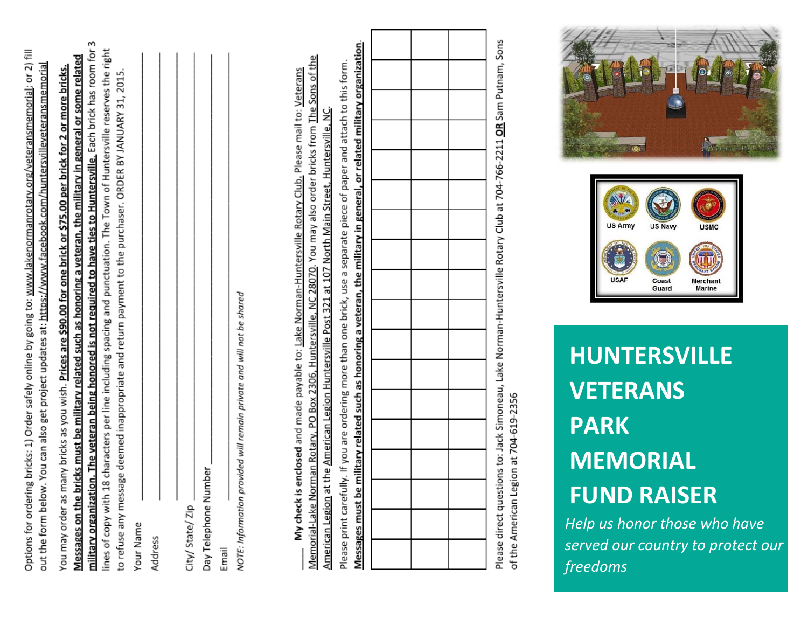|                                                                                                                        | hememori                                                                                             |  |
|------------------------------------------------------------------------------------------------------------------------|------------------------------------------------------------------------------------------------------|--|
|                                                                                                                        |                                                                                                      |  |
|                                                                                                                        |                                                                                                      |  |
|                                                                                                                        |                                                                                                      |  |
|                                                                                                                        |                                                                                                      |  |
|                                                                                                                        |                                                                                                      |  |
|                                                                                                                        |                                                                                                      |  |
|                                                                                                                        |                                                                                                      |  |
|                                                                                                                        |                                                                                                      |  |
|                                                                                                                        |                                                                                                      |  |
|                                                                                                                        |                                                                                                      |  |
|                                                                                                                        |                                                                                                      |  |
|                                                                                                                        |                                                                                                      |  |
|                                                                                                                        |                                                                                                      |  |
|                                                                                                                        |                                                                                                      |  |
|                                                                                                                        |                                                                                                      |  |
|                                                                                                                        |                                                                                                      |  |
|                                                                                                                        |                                                                                                      |  |
|                                                                                                                        |                                                                                                      |  |
|                                                                                                                        |                                                                                                      |  |
|                                                                                                                        |                                                                                                      |  |
|                                                                                                                        |                                                                                                      |  |
|                                                                                                                        |                                                                                                      |  |
|                                                                                                                        |                                                                                                      |  |
|                                                                                                                        |                                                                                                      |  |
|                                                                                                                        |                                                                                                      |  |
|                                                                                                                        |                                                                                                      |  |
|                                                                                                                        |                                                                                                      |  |
|                                                                                                                        |                                                                                                      |  |
|                                                                                                                        |                                                                                                      |  |
|                                                                                                                        |                                                                                                      |  |
|                                                                                                                        |                                                                                                      |  |
|                                                                                                                        |                                                                                                      |  |
|                                                                                                                        |                                                                                                      |  |
|                                                                                                                        |                                                                                                      |  |
|                                                                                                                        |                                                                                                      |  |
|                                                                                                                        |                                                                                                      |  |
| Options for ordering bricks: 1) Order safely online by going to: www.lakenormanrotary.org/veteransmemorial; or 2) fill | out the form below. You can also get project updates at: https://www.facebook.com/huntersvilleveters |  |
|                                                                                                                        |                                                                                                      |  |

military organization. The veteran being honored is not required to have ties to Huntersville. Each brick has room for 3 lines of copy with 18 characters per line including spacing and punctuation. The Town of Huntersville reserves the right Messages on the bricks must be military related such as honoring a veteran, the military in general or some related to refuse any message deemed inappropriate and return payment to the purchaser. ORDER BY JANUARY 31, 2015. You may order as many bricks as you wish. Prices are \$90.00 for one brick or \$75.00 per brick fo Your Name

| Address |  |  |
|---------|--|--|
|         |  |  |
|         |  |  |
|         |  |  |

|        | i<br>Í              |
|--------|---------------------|
| è<br>í | ٦<br>Tolophono<br>έ |

Email

NOTE: Information provided will remain private and will not be shared

Memorial-Lake Norman Rotary, PO Box 2306, Huntersville, NC 28070. You may also order bricks from The Sons of the My check is enclosed and made payable to: Lake Norman-Huntersville Rotary Club. Please mail to: Veterans North Main Street, Huntersville, at 107 American Legion at the American Legion Huntersville Post 321

Messages must be military related such as honoring a veteran, the military in general, or related military organization. Please print carefully. If you are ordering more than one brick, use a separate piece of paper and attach to this form.

Please direct questions to: Jack Simoneau, Lake Norman-Huntersville Rotary Club at 704-766-2211 **OR** Sam Putnam, Sons of the American Legion at 704-619-2356

## **HUNTERSVILLE VETERANS PARK MEMORIALFUND RAISER**

*Help us honor those who have served our country to protect our freedoms*